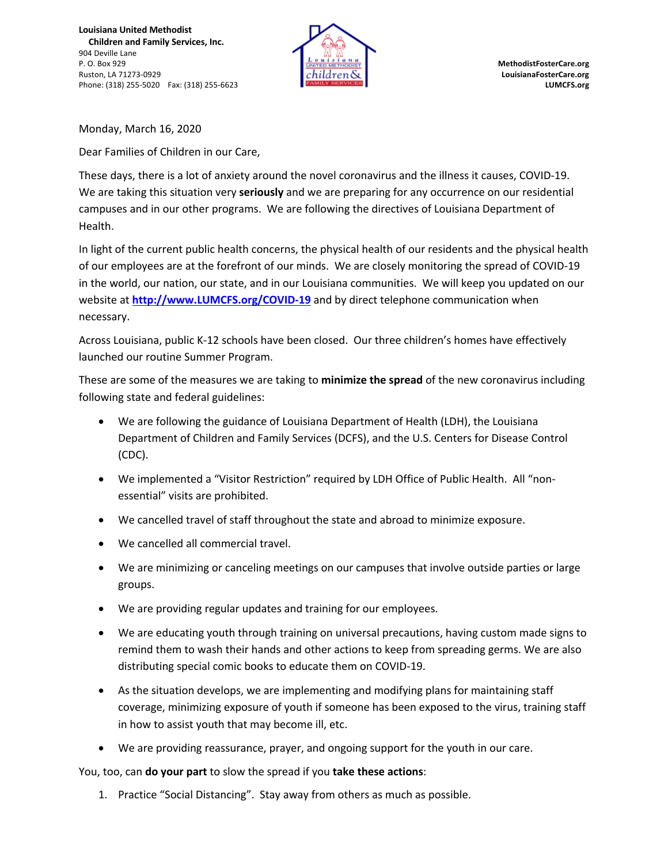**Louisiana United Methodist Children and Family Services, Inc.** 904 Deville Lane P. O. Box 929 **MethodistFosterCare.org** Ruston, LA 71273-0929 **LouisianaFosterCare.org** Phone: (318) 255-5020 Fax: (318) 255-6623 **LUMCFS.org**



Monday, March 16, 2020

Dear Families of Children in our Care,

These days, there is a lot of anxiety around the novel coronavirus and the illness it causes, COVID-19. We are taking this situation very **seriously** and we are preparing for any occurrence on our residential campuses and in our other programs. We are following the directives of Louisiana Department of Health.

In light of the current public health concerns, the physical health of our residents and the physical health of our employees are at the forefront of our minds. We are closely monitoring the spread of COVID-19 in the world, our nation, our state, and in our Louisiana communities. We will keep you updated on our website at **http://www.LUMCFS.org/COVID-19** and by direct telephone communication when necessary.

Across Louisiana, public K-12 schools have been closed. Our three children's homes have effectively launched our routine Summer Program.

These are some of the measures we are taking to **minimize the spread** of the new coronavirus including following state and federal guidelines:

- We are following the guidance of Louisiana Department of Health (LDH), the Louisiana Department of Children and Family Services (DCFS), and the U.S. Centers for Disease Control (CDC).
- We implemented a "Visitor Restriction" required by LDH Office of Public Health. All "nonessential" visits are prohibited.
- We cancelled travel of staff throughout the state and abroad to minimize exposure.
- We cancelled all commercial travel.
- We are minimizing or canceling meetings on our campuses that involve outside parties or large groups.
- We are providing regular updates and training for our employees.
- We are educating youth through training on universal precautions, having custom made signs to remind them to wash their hands and other actions to keep from spreading germs. We are also distributing special comic books to educate them on COVID-19.
- As the situation develops, we are implementing and modifying plans for maintaining staff coverage, minimizing exposure of youth if someone has been exposed to the virus, training staff in how to assist youth that may become ill, etc.
- We are providing reassurance, prayer, and ongoing support for the youth in our care.

You, too, can **do your part** to slow the spread if you **take these actions**:

1. Practice "Social Distancing". Stay away from others as much as possible.